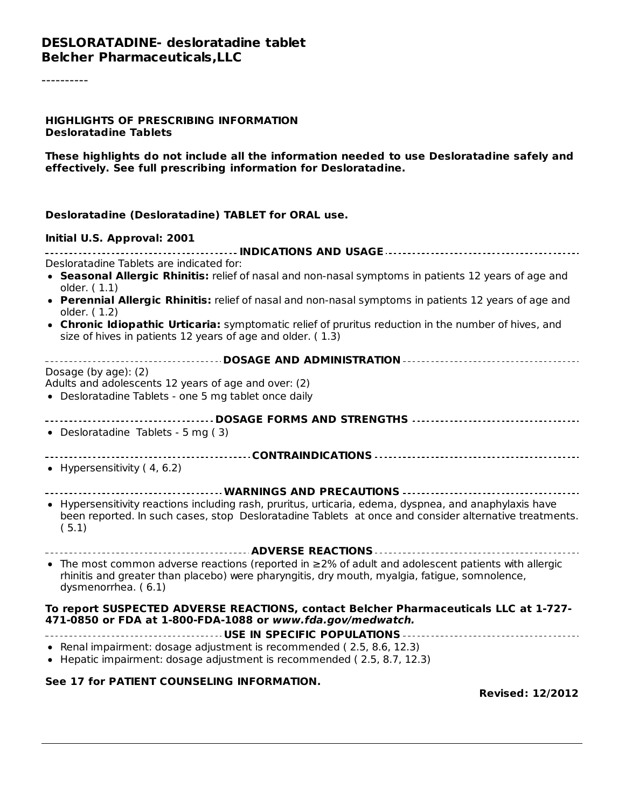----------

#### **HIGHLIGHTS OF PRESCRIBING INFORMATION Desloratadine Tablets**

**These highlights do not include all the information needed to use Desloratadine safely and effectively. See full prescribing information for Desloratadine.**

#### **Desloratadine (Desloratadine) TABLET for ORAL use.**

#### **Initial U.S. Approval: 2001**

| Desloratadine Tablets are indicated for:                                                                                                                                                                                          |
|-----------------------------------------------------------------------------------------------------------------------------------------------------------------------------------------------------------------------------------|
| • Seasonal Allergic Rhinitis: relief of nasal and non-nasal symptoms in patients 12 years of age and<br>older. (1.1)                                                                                                              |
| • Perennial Allergic Rhinitis: relief of nasal and non-nasal symptoms in patients 12 years of age and<br>older. (1.2)                                                                                                             |
| • Chronic Idiopathic Urticaria: symptomatic relief of pruritus reduction in the number of hives, and<br>size of hives in patients 12 years of age and older. (1.3)                                                                |
|                                                                                                                                                                                                                                   |
| Dosage (by age): (2)                                                                                                                                                                                                              |
| Adults and adolescents 12 years of age and over: (2)                                                                                                                                                                              |
| • Desloratadine Tablets - one 5 mg tablet once daily                                                                                                                                                                              |
|                                                                                                                                                                                                                                   |
| • Desloratadine Tablets - 5 mg (3)                                                                                                                                                                                                |
|                                                                                                                                                                                                                                   |
| • Hypersensitivity $(4, 6.2)$                                                                                                                                                                                                     |
|                                                                                                                                                                                                                                   |
| • Hypersensitivity reactions including rash, pruritus, urticaria, edema, dyspnea, and anaphylaxis have<br>been reported. In such cases, stop Desloratadine Tablets at once and consider alternative treatments.<br>(5.1)          |
|                                                                                                                                                                                                                                   |
| • The most common adverse reactions (reported in $\geq$ 2% of adult and adolescent patients with allergic<br>rhinitis and greater than placebo) were pharyngitis, dry mouth, myalgia, fatigue, somnolence,<br>dysmenorrhea. (6.1) |
| To report SUSPECTED ADVERSE REACTIONS, contact Belcher Pharmaceuticals LLC at 1-727-<br>471-0850 or FDA at 1-800-FDA-1088 or www.fda.gov/medwatch.                                                                                |
| • Renal impairment: dosage adjustment is recommended (2.5, 8.6, 12.3)<br>• Hepatic impairment: dosage adjustment is recommended (2.5, 8.7, 12.3)                                                                                  |
| See 17 for PATIENT COUNSELING INFORMATION.                                                                                                                                                                                        |

**Revised: 12/2012**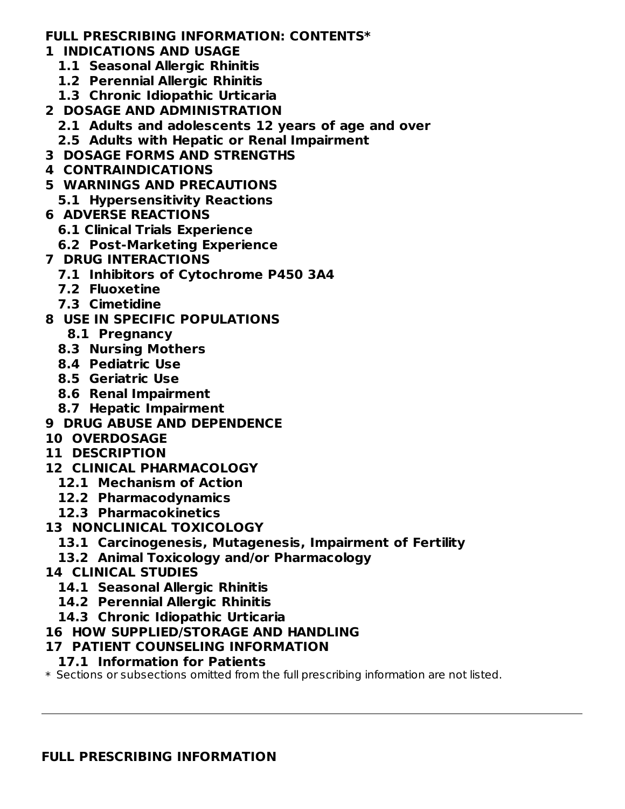#### **FULL PRESCRIBING INFORMATION: CONTENTS\***

- **1 INDICATIONS AND USAGE**
	- **1.1 Seasonal Allergic Rhinitis**
	- **1.2 Perennial Allergic Rhinitis**
	- **1.3 Chronic Idiopathic Urticaria**
- **2 DOSAGE AND ADMINISTRATION**
	- **2.1 Adults and adolescents 12 years of age and over**
	- **2.5 Adults with Hepatic or Renal Impairment**
- **3 DOSAGE FORMS AND STRENGTHS**
- **4 CONTRAINDICATIONS**
- **5 WARNINGS AND PRECAUTIONS**
- **5.1 Hypersensitivity Reactions**
- **6 ADVERSE REACTIONS**
	- **6.1 Clinical Trials Experience**
	- **6.2 Post-Marketing Experience**
- **7 DRUG INTERACTIONS**
	- **7.1 Inhibitors of Cytochrome P450 3A4**
	- **7.2 Fluoxetine**
	- **7.3 Cimetidine**
- **8 USE IN SPECIFIC POPULATIONS**
	- **8.1 Pregnancy**
	- **8.3 Nursing Mothers**
	- **8.4 Pediatric Use**
	- **8.5 Geriatric Use**
	- **8.6 Renal Impairment**
	- **8.7 Hepatic Impairment**
- **9 DRUG ABUSE AND DEPENDENCE**
- **10 OVERDOSAGE**
- **11 DESCRIPTION**
- **12 CLINICAL PHARMACOLOGY**
	- **12.1 Mechanism of Action**
	- **12.2 Pharmacodynamics**
	- **12.3 Pharmacokinetics**
- **13 NONCLINICAL TOXICOLOGY**
	- **13.1 Carcinogenesis, Mutagenesis, Impairment of Fertility**
	- **13.2 Animal Toxicology and/or Pharmacology**
- **14 CLINICAL STUDIES**
	- **14.1 Seasonal Allergic Rhinitis**
	- **14.2 Perennial Allergic Rhinitis**
	- **14.3 Chronic Idiopathic Urticaria**

### **16 HOW SUPPLIED/STORAGE AND HANDLING**

# **17 PATIENT COUNSELING INFORMATION**

- **17.1 Information for Patients**
- $\ast$  Sections or subsections omitted from the full prescribing information are not listed.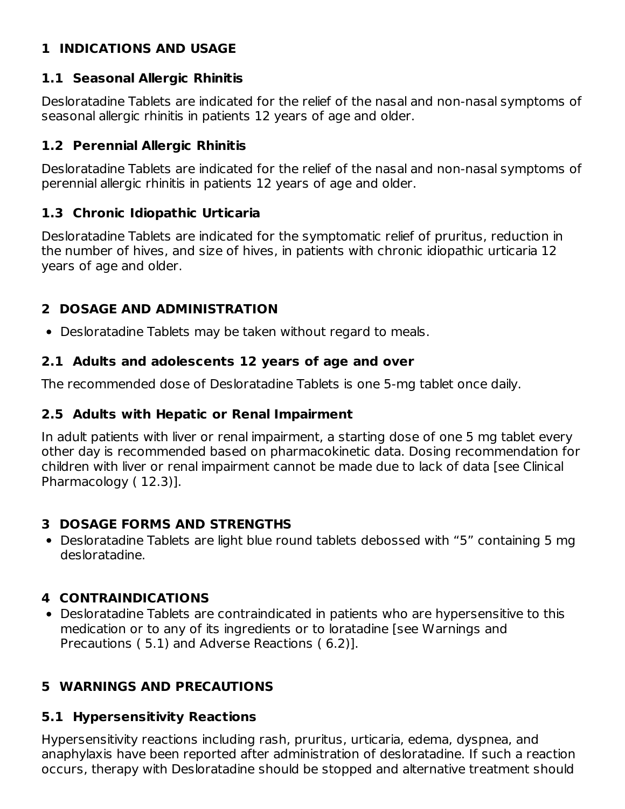# **1 INDICATIONS AND USAGE**

### **1.1 Seasonal Allergic Rhinitis**

Desloratadine Tablets are indicated for the relief of the nasal and non-nasal symptoms of seasonal allergic rhinitis in patients 12 years of age and older.

#### **1.2 Perennial Allergic Rhinitis**

Desloratadine Tablets are indicated for the relief of the nasal and non-nasal symptoms of perennial allergic rhinitis in patients 12 years of age and older.

### **1.3 Chronic Idiopathic Urticaria**

Desloratadine Tablets are indicated for the symptomatic relief of pruritus, reduction in the number of hives, and size of hives, in patients with chronic idiopathic urticaria 12 years of age and older.

### **2 DOSAGE AND ADMINISTRATION**

Desloratadine Tablets may be taken without regard to meals.

#### **2.1 Adults and adolescents 12 years of age and over**

The recommended dose of Desloratadine Tablets is one 5-mg tablet once daily.

#### **2.5 Adults with Hepatic or Renal Impairment**

In adult patients with liver or renal impairment, a starting dose of one 5 mg tablet every other day is recommended based on pharmacokinetic data. Dosing recommendation for children with liver or renal impairment cannot be made due to lack of data [see Clinical Pharmacology ( 12.3)].

#### **3 DOSAGE FORMS AND STRENGTHS**

Desloratadine Tablets are light blue round tablets debossed with "5" containing 5 mg desloratadine.

### **4 CONTRAINDICATIONS**

Desloratadine Tablets are contraindicated in patients who are hypersensitive to this medication or to any of its ingredients or to loratadine [see Warnings and Precautions ( 5.1) and Adverse Reactions ( 6.2)].

# **5 WARNINGS AND PRECAUTIONS**

### **5.1 Hypersensitivity Reactions**

Hypersensitivity reactions including rash, pruritus, urticaria, edema, dyspnea, and anaphylaxis have been reported after administration of desloratadine. If such a reaction occurs, therapy with Desloratadine should be stopped and alternative treatment should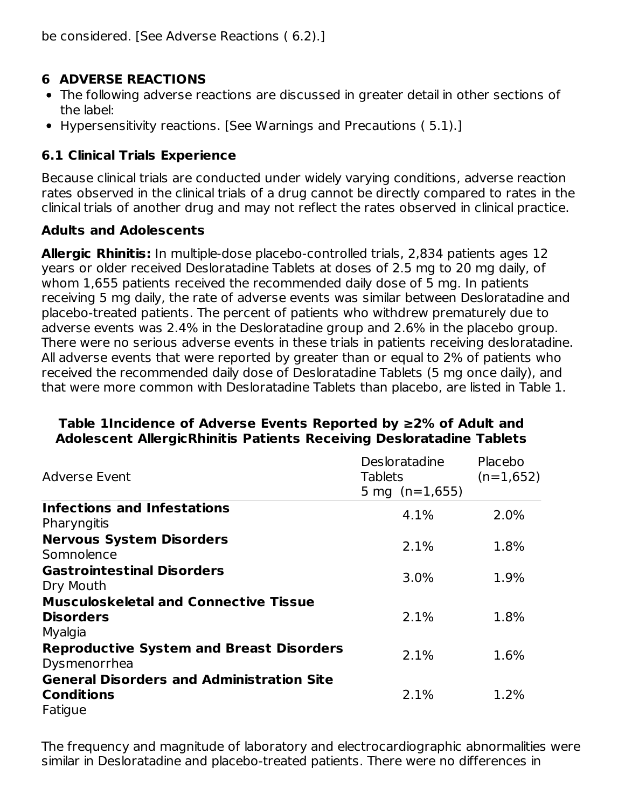### **6 ADVERSE REACTIONS**

- The following adverse reactions are discussed in greater detail in other sections of the label:
- Hypersensitivity reactions. [See Warnings and Precautions ( 5.1).]

# **6.1 Clinical Trials Experience**

Because clinical trials are conducted under widely varying conditions, adverse reaction rates observed in the clinical trials of a drug cannot be directly compared to rates in the clinical trials of another drug and may not reflect the rates observed in clinical practice.

#### **Adults and Adolescents**

**Allergic Rhinitis:** In multiple-dose placebo-controlled trials, 2,834 patients ages 12 years or older received Desloratadine Tablets at doses of 2.5 mg to 20 mg daily, of whom 1,655 patients received the recommended daily dose of 5 mg. In patients receiving 5 mg daily, the rate of adverse events was similar between Desloratadine and placebo-treated patients. The percent of patients who withdrew prematurely due to adverse events was 2.4% in the Desloratadine group and 2.6% in the placebo group. There were no serious adverse events in these trials in patients receiving desloratadine. All adverse events that were reported by greater than or equal to 2% of patients who received the recommended daily dose of Desloratadine Tablets (5 mg once daily), and that were more common with Desloratadine Tablets than placebo, are listed in Table 1.

#### **Table 1Incidence of Adverse Events Reported by ≥2% of Adult and Adolescent AllergicRhinitis Patients Receiving Desloratadine Tablets**

| <b>Adverse Event</b>                                            | Desloratadine<br><b>Tablets</b><br>5 mg $(n=1,655)$ | Placebo<br>$(n=1,652)$ |
|-----------------------------------------------------------------|-----------------------------------------------------|------------------------|
| <b>Infections and Infestations</b>                              | 4.1%                                                | 2.0%                   |
| Pharyngitis                                                     |                                                     |                        |
| <b>Nervous System Disorders</b><br>Somnolence                   | 2.1%                                                | 1.8%                   |
| <b>Gastrointestinal Disorders</b>                               | 3.0%                                                | 1.9%                   |
| Dry Mouth                                                       |                                                     |                        |
| <b>Musculoskeletal and Connective Tissue</b>                    |                                                     |                        |
| <b>Disorders</b>                                                | 2.1%                                                | 1.8%                   |
| Myalgia                                                         |                                                     |                        |
| <b>Reproductive System and Breast Disorders</b><br>Dysmenorrhea | 2.1%                                                | 1.6%                   |
| <b>General Disorders and Administration Site</b>                |                                                     |                        |
| <b>Conditions</b>                                               | 2.1%                                                | 1.2%                   |
| Fatigue                                                         |                                                     |                        |

The frequency and magnitude of laboratory and electrocardiographic abnormalities were similar in Desloratadine and placebo-treated patients. There were no differences in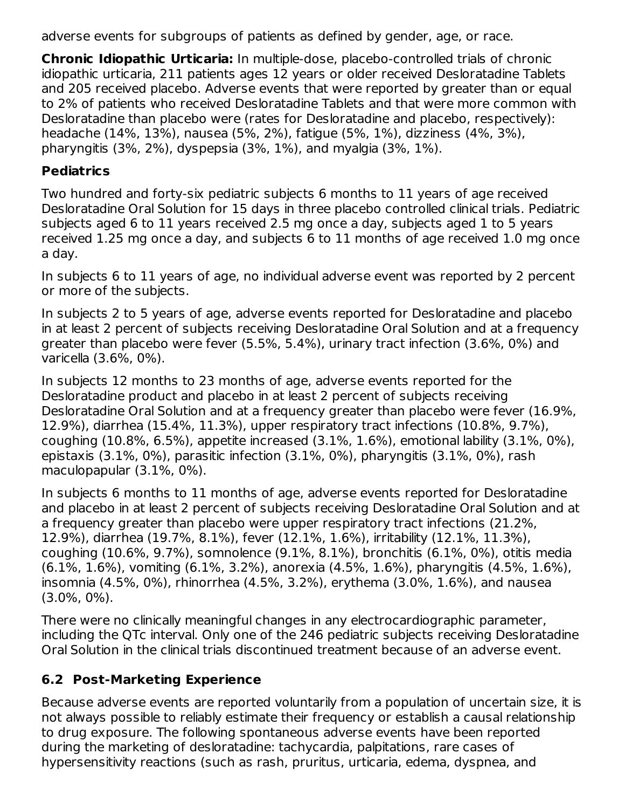adverse events for subgroups of patients as defined by gender, age, or race.

**Chronic Idiopathic Urticaria:** In multiple-dose, placebo-controlled trials of chronic idiopathic urticaria, 211 patients ages 12 years or older received Desloratadine Tablets and 205 received placebo. Adverse events that were reported by greater than or equal to 2% of patients who received Desloratadine Tablets and that were more common with Desloratadine than placebo were (rates for Desloratadine and placebo, respectively): headache (14%, 13%), nausea (5%, 2%), fatigue (5%, 1%), dizziness (4%, 3%), pharyngitis (3%, 2%), dyspepsia (3%, 1%), and myalgia (3%, 1%).

### **Pediatrics**

Two hundred and forty-six pediatric subjects 6 months to 11 years of age received Desloratadine Oral Solution for 15 days in three placebo controlled clinical trials. Pediatric subjects aged 6 to 11 years received 2.5 mg once a day, subjects aged 1 to 5 years received 1.25 mg once a day, and subjects 6 to 11 months of age received 1.0 mg once a day.

In subjects 6 to 11 years of age, no individual adverse event was reported by 2 percent or more of the subjects.

In subjects 2 to 5 years of age, adverse events reported for Desloratadine and placebo in at least 2 percent of subjects receiving Desloratadine Oral Solution and at a frequency greater than placebo were fever (5.5%, 5.4%), urinary tract infection (3.6%, 0%) and varicella (3.6%, 0%).

In subjects 12 months to 23 months of age, adverse events reported for the Desloratadine product and placebo in at least 2 percent of subjects receiving Desloratadine Oral Solution and at a frequency greater than placebo were fever (16.9%, 12.9%), diarrhea (15.4%, 11.3%), upper respiratory tract infections (10.8%, 9.7%), coughing (10.8%, 6.5%), appetite increased (3.1%, 1.6%), emotional lability (3.1%, 0%), epistaxis (3.1%, 0%), parasitic infection (3.1%, 0%), pharyngitis (3.1%, 0%), rash maculopapular (3.1%, 0%).

In subjects 6 months to 11 months of age, adverse events reported for Desloratadine and placebo in at least 2 percent of subjects receiving Desloratadine Oral Solution and at a frequency greater than placebo were upper respiratory tract infections (21.2%, 12.9%), diarrhea (19.7%, 8.1%), fever (12.1%, 1.6%), irritability (12.1%, 11.3%), coughing (10.6%, 9.7%), somnolence (9.1%, 8.1%), bronchitis (6.1%, 0%), otitis media (6.1%, 1.6%), vomiting (6.1%, 3.2%), anorexia (4.5%, 1.6%), pharyngitis (4.5%, 1.6%), insomnia (4.5%, 0%), rhinorrhea (4.5%, 3.2%), erythema (3.0%, 1.6%), and nausea (3.0%, 0%).

There were no clinically meaningful changes in any electrocardiographic parameter, including the QTc interval. Only one of the 246 pediatric subjects receiving Desloratadine Oral Solution in the clinical trials discontinued treatment because of an adverse event.

### **6.2 Post-Marketing Experience**

Because adverse events are reported voluntarily from a population of uncertain size, it is not always possible to reliably estimate their frequency or establish a causal relationship to drug exposure. The following spontaneous adverse events have been reported during the marketing of desloratadine: tachycardia, palpitations, rare cases of hypersensitivity reactions (such as rash, pruritus, urticaria, edema, dyspnea, and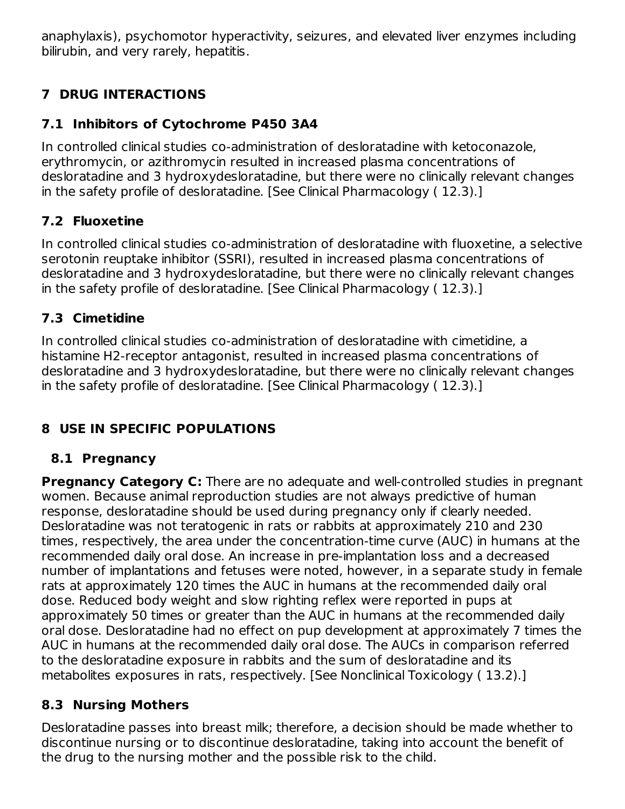anaphylaxis), psychomotor hyperactivity, seizures, and elevated liver enzymes including bilirubin, and very rarely, hepatitis.

# **7 DRUG INTERACTIONS**

# **7.1 Inhibitors of Cytochrome P450 3A4**

In controlled clinical studies co-administration of desloratadine with ketoconazole, erythromycin, or azithromycin resulted in increased plasma concentrations of desloratadine and 3 hydroxydesloratadine, but there were no clinically relevant changes in the safety profile of desloratadine. [See Clinical Pharmacology ( 12.3).]

# **7.2 Fluoxetine**

In controlled clinical studies co-administration of desloratadine with fluoxetine, a selective serotonin reuptake inhibitor (SSRI), resulted in increased plasma concentrations of desloratadine and 3 hydroxydesloratadine, but there were no clinically relevant changes in the safety profile of desloratadine. [See Clinical Pharmacology ( 12.3).]

# **7.3 Cimetidine**

In controlled clinical studies co-administration of desloratadine with cimetidine, a histamine H2-receptor antagonist, resulted in increased plasma concentrations of desloratadine and 3 hydroxydesloratadine, but there were no clinically relevant changes in the safety profile of desloratadine. [See Clinical Pharmacology ( 12.3).]

# **8 USE IN SPECIFIC POPULATIONS**

### **8.1 Pregnancy**

**Pregnancy Category C:** There are no adequate and well-controlled studies in pregnant women. Because animal reproduction studies are not always predictive of human response, desloratadine should be used during pregnancy only if clearly needed. Desloratadine was not teratogenic in rats or rabbits at approximately 210 and 230 times, respectively, the area under the concentration-time curve (AUC) in humans at the recommended daily oral dose. An increase in pre-implantation loss and a decreased number of implantations and fetuses were noted, however, in a separate study in female rats at approximately 120 times the AUC in humans at the recommended daily oral dose. Reduced body weight and slow righting reflex were reported in pups at approximately 50 times or greater than the AUC in humans at the recommended daily oral dose. Desloratadine had no effect on pup development at approximately 7 times the AUC in humans at the recommended daily oral dose. The AUCs in comparison referred to the desloratadine exposure in rabbits and the sum of desloratadine and its metabolites exposures in rats, respectively. [See Nonclinical Toxicology ( 13.2).]

### **8.3 Nursing Mothers**

Desloratadine passes into breast milk; therefore, a decision should be made whether to discontinue nursing or to discontinue desloratadine, taking into account the benefit of the drug to the nursing mother and the possible risk to the child.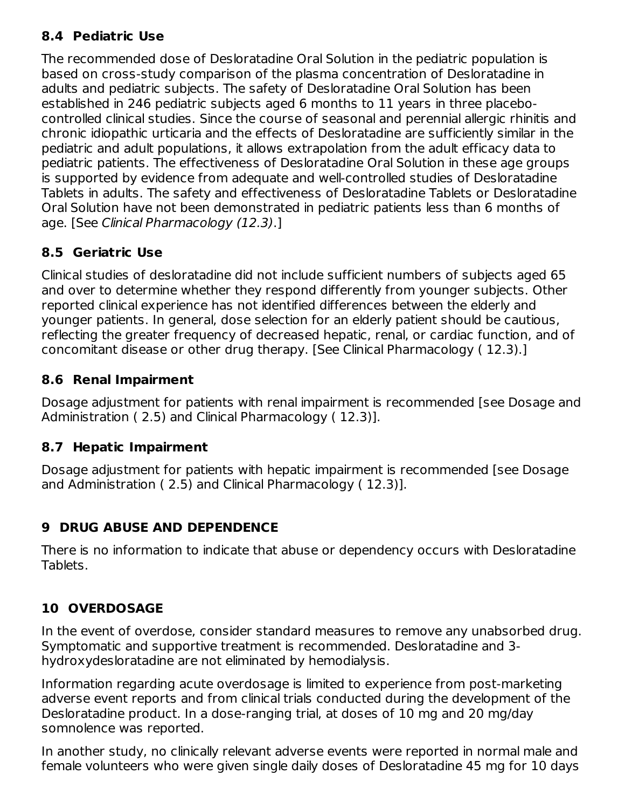# **8.4 Pediatric Use**

The recommended dose of Desloratadine Oral Solution in the pediatric population is based on cross-study comparison of the plasma concentration of Desloratadine in adults and pediatric subjects. The safety of Desloratadine Oral Solution has been established in 246 pediatric subjects aged 6 months to 11 years in three placebocontrolled clinical studies. Since the course of seasonal and perennial allergic rhinitis and chronic idiopathic urticaria and the effects of Desloratadine are sufficiently similar in the pediatric and adult populations, it allows extrapolation from the adult efficacy data to pediatric patients. The effectiveness of Desloratadine Oral Solution in these age groups is supported by evidence from adequate and well-controlled studies of Desloratadine Tablets in adults. The safety and effectiveness of Desloratadine Tablets or Desloratadine Oral Solution have not been demonstrated in pediatric patients less than 6 months of age. [See Clinical Pharmacology (12.3).]

# **8.5 Geriatric Use**

Clinical studies of desloratadine did not include sufficient numbers of subjects aged 65 and over to determine whether they respond differently from younger subjects. Other reported clinical experience has not identified differences between the elderly and younger patients. In general, dose selection for an elderly patient should be cautious, reflecting the greater frequency of decreased hepatic, renal, or cardiac function, and of concomitant disease or other drug therapy. [See Clinical Pharmacology ( 12.3).]

# **8.6 Renal Impairment**

Dosage adjustment for patients with renal impairment is recommended [see Dosage and Administration ( 2.5) and Clinical Pharmacology ( 12.3)].

### **8.7 Hepatic Impairment**

Dosage adjustment for patients with hepatic impairment is recommended [see Dosage and Administration ( 2.5) and Clinical Pharmacology ( 12.3)].

# **9 DRUG ABUSE AND DEPENDENCE**

There is no information to indicate that abuse or dependency occurs with Desloratadine Tablets.

# **10 OVERDOSAGE**

In the event of overdose, consider standard measures to remove any unabsorbed drug. Symptomatic and supportive treatment is recommended. Desloratadine and 3 hydroxydesloratadine are not eliminated by hemodialysis.

Information regarding acute overdosage is limited to experience from post-marketing adverse event reports and from clinical trials conducted during the development of the Desloratadine product. In a dose-ranging trial, at doses of 10 mg and 20 mg/day somnolence was reported.

In another study, no clinically relevant adverse events were reported in normal male and female volunteers who were given single daily doses of Desloratadine 45 mg for 10 days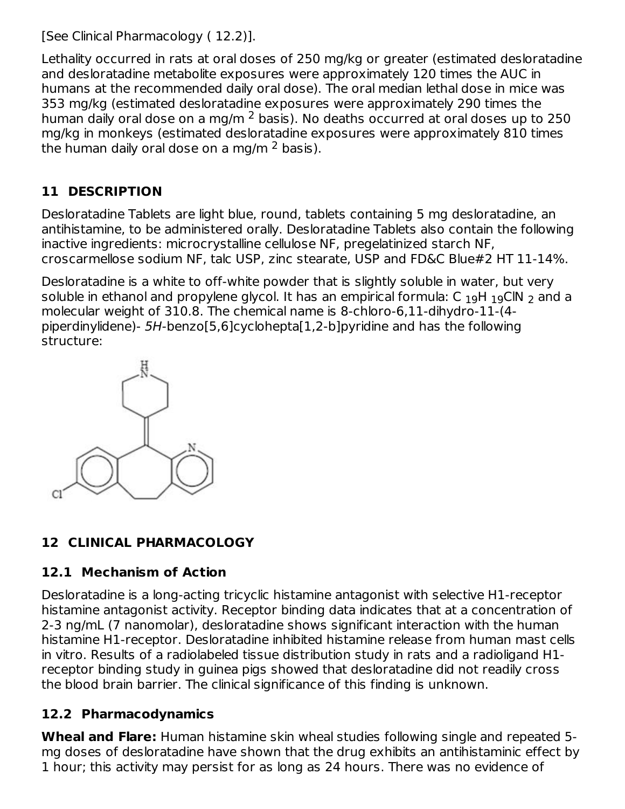[See Clinical Pharmacology ( 12.2)].

Lethality occurred in rats at oral doses of 250 mg/kg or greater (estimated desloratadine and desloratadine metabolite exposures were approximately 120 times the AUC in humans at the recommended daily oral dose). The oral median lethal dose in mice was 353 mg/kg (estimated desloratadine exposures were approximately 290 times the human daily oral dose on a mg/m  $^2$  basis). No deaths occurred at oral doses up to 250  $\,$ mg/kg in monkeys (estimated desloratadine exposures were approximately 810 times the human daily oral dose on a mg/m  $^2$  basis).

# **11 DESCRIPTION**

Desloratadine Tablets are light blue, round, tablets containing 5 mg desloratadine, an antihistamine, to be administered orally. Desloratadine Tablets also contain the following inactive ingredients: microcrystalline cellulose NF, pregelatinized starch NF, croscarmellose sodium NF, talc USP, zinc stearate, USP and FD&C Blue#2 HT 11-14%.

Desloratadine is a white to off-white powder that is slightly soluble in water, but very soluble in ethanol and propylene glycol. It has an empirical formula: C  $_{19}$ H  $_{19}$ ClN  $_{2}$  and a molecular weight of 310.8. The chemical name is 8-chloro-6,11-dihydro-11-(4 piperdinylidene)- 5H-benzo[5,6]cyclohepta[1,2-b]pyridine and has the following structure:



# **12 CLINICAL PHARMACOLOGY**

# **12.1 Mechanism of Action**

Desloratadine is a long-acting tricyclic histamine antagonist with selective H1-receptor histamine antagonist activity. Receptor binding data indicates that at a concentration of 2-3 ng/mL (7 nanomolar), desloratadine shows significant interaction with the human histamine H1-receptor. Desloratadine inhibited histamine release from human mast cells in vitro. Results of a radiolabeled tissue distribution study in rats and a radioligand H1 receptor binding study in guinea pigs showed that desloratadine did not readily cross the blood brain barrier. The clinical significance of this finding is unknown.

# **12.2 Pharmacodynamics**

**Wheal and Flare:** Human histamine skin wheal studies following single and repeated 5 mg doses of desloratadine have shown that the drug exhibits an antihistaminic effect by 1 hour; this activity may persist for as long as 24 hours. There was no evidence of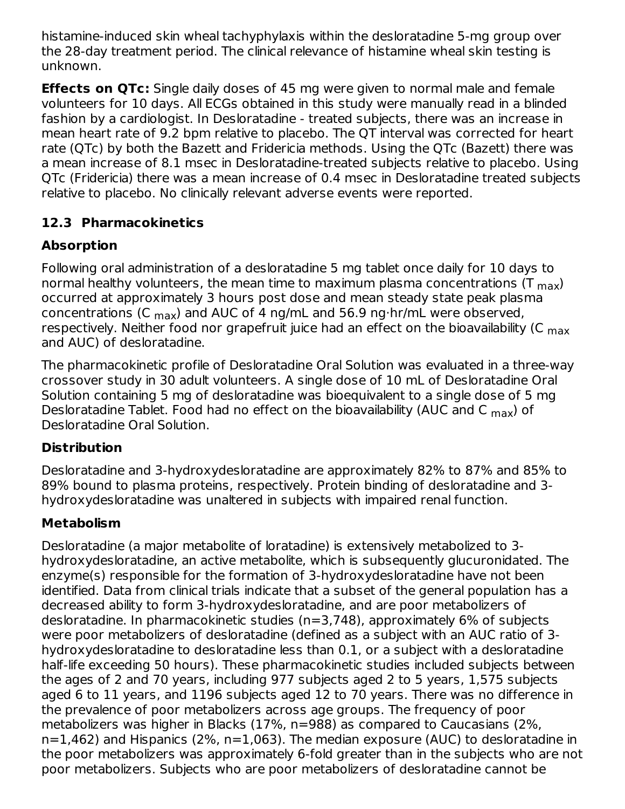histamine-induced skin wheal tachyphylaxis within the desloratadine 5-mg group over the 28-day treatment period. The clinical relevance of histamine wheal skin testing is unknown.

**Effects on QTc:** Single daily doses of 45 mg were given to normal male and female volunteers for 10 days. All ECGs obtained in this study were manually read in a blinded fashion by a cardiologist. In Desloratadine - treated subjects, there was an increase in mean heart rate of 9.2 bpm relative to placebo. The QT interval was corrected for heart rate (QTc) by both the Bazett and Fridericia methods. Using the QTc (Bazett) there was a mean increase of 8.1 msec in Desloratadine-treated subjects relative to placebo. Using QTc (Fridericia) there was a mean increase of 0.4 msec in Desloratadine treated subjects relative to placebo. No clinically relevant adverse events were reported.

# **12.3 Pharmacokinetics**

# **Absorption**

Following oral administration of a desloratadine 5 mg tablet once daily for 10 days to normal healthy volunteers, the mean time to maximum plasma concentrations (T  $_{\sf max}$ ) occurred at approximately 3 hours post dose and mean steady state peak plasma concentrations (C <sub>max</sub>) and AUC of 4 ng/mL and 56.9 ng⋅hr/mL were observed, respectively. Neither food nor grapefruit juice had an effect on the bioavailability (C <sub>max</sub> and AUC) of desloratadine.

The pharmacokinetic profile of Desloratadine Oral Solution was evaluated in a three-way crossover study in 30 adult volunteers. A single dose of 10 mL of Desloratadine Oral Solution containing 5 mg of desloratadine was bioequivalent to a single dose of 5 mg Desloratadine Tablet. Food had no effect on the bioavailability (AUC and C <sub>max</sub>) of Desloratadine Oral Solution.

# **Distribution**

Desloratadine and 3-hydroxydesloratadine are approximately 82% to 87% and 85% to 89% bound to plasma proteins, respectively. Protein binding of desloratadine and 3 hydroxydesloratadine was unaltered in subjects with impaired renal function.

# **Metabolism**

Desloratadine (a major metabolite of loratadine) is extensively metabolized to 3 hydroxydesloratadine, an active metabolite, which is subsequently glucuronidated. The enzyme(s) responsible for the formation of 3-hydroxydesloratadine have not been identified. Data from clinical trials indicate that a subset of the general population has a decreased ability to form 3-hydroxydesloratadine, and are poor metabolizers of desloratadine. In pharmacokinetic studies (n=3,748), approximately 6% of subjects were poor metabolizers of desloratadine (defined as a subject with an AUC ratio of 3 hydroxydesloratadine to desloratadine less than 0.1, or a subject with a desloratadine half-life exceeding 50 hours). These pharmacokinetic studies included subjects between the ages of 2 and 70 years, including 977 subjects aged 2 to 5 years, 1,575 subjects aged 6 to 11 years, and 1196 subjects aged 12 to 70 years. There was no difference in the prevalence of poor metabolizers across age groups. The frequency of poor metabolizers was higher in Blacks (17%, n=988) as compared to Caucasians (2%, n=1,462) and Hispanics (2%, n=1,063). The median exposure (AUC) to desloratadine in the poor metabolizers was approximately 6-fold greater than in the subjects who are not poor metabolizers. Subjects who are poor metabolizers of desloratadine cannot be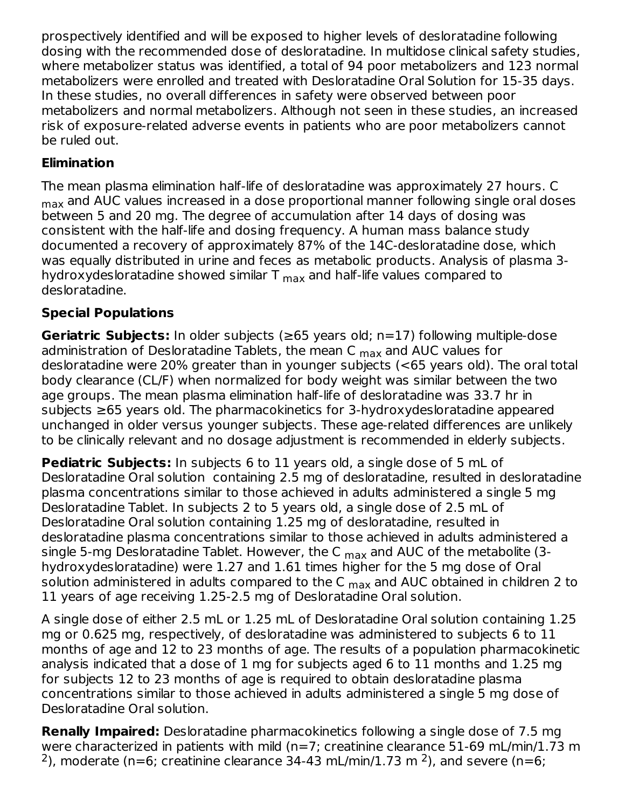prospectively identified and will be exposed to higher levels of desloratadine following dosing with the recommended dose of desloratadine. In multidose clinical safety studies, where metabolizer status was identified, a total of 94 poor metabolizers and 123 normal metabolizers were enrolled and treated with Desloratadine Oral Solution for 15-35 days. In these studies, no overall differences in safety were observed between poor metabolizers and normal metabolizers. Although not seen in these studies, an increased risk of exposure-related adverse events in patients who are poor metabolizers cannot be ruled out.

### **Elimination**

The mean plasma elimination half-life of desloratadine was approximately 27 hours. C  $_{\sf max}$  and AUC values increased in a dose proportional manner following single oral doses between 5 and 20 mg. The degree of accumulation after 14 days of dosing was consistent with the half-life and dosing frequency. A human mass balance study documented a recovery of approximately 87% of the 14C-desloratadine dose, which was equally distributed in urine and feces as metabolic products. Analysis of plasma 3 hydroxydesloratadine showed similar T  $_{\sf max}$  and half-life values compared to desloratadine.

# **Special Populations**

**Geriatric Subjects:** In older subjects (≥65 years old; n=17) following multiple-dose administration of Desloratadine Tablets, the mean C <sub>max</sub> and AUC values for desloratadine were 20% greater than in younger subjects (<65 years old). The oral total body clearance (CL/F) when normalized for body weight was similar between the two age groups. The mean plasma elimination half-life of desloratadine was 33.7 hr in subjects ≥65 years old. The pharmacokinetics for 3-hydroxydesloratadine appeared unchanged in older versus younger subjects. These age-related differences are unlikely to be clinically relevant and no dosage adjustment is recommended in elderly subjects.

**Pediatric Subjects:** In subjects 6 to 11 years old, a single dose of 5 mL of Desloratadine Oral solution containing 2.5 mg of desloratadine, resulted in desloratadine plasma concentrations similar to those achieved in adults administered a single 5 mg Desloratadine Tablet. In subjects 2 to 5 years old, a single dose of 2.5 mL of Desloratadine Oral solution containing 1.25 mg of desloratadine, resulted in desloratadine plasma concentrations similar to those achieved in adults administered a single 5-mg Desloratadine Tablet. However, the C <sub>max</sub> and AUC of the metabolite (3hydroxydesloratadine) were 1.27 and 1.61 times higher for the 5 mg dose of Oral solution administered in adults compared to the C  $_{\sf max}$  and AUC obtained in children 2 to 11 years of age receiving 1.25-2.5 mg of Desloratadine Oral solution.

A single dose of either 2.5 mL or 1.25 mL of Desloratadine Oral solution containing 1.25 mg or 0.625 mg, respectively, of desloratadine was administered to subjects 6 to 11 months of age and 12 to 23 months of age. The results of a population pharmacokinetic analysis indicated that a dose of 1 mg for subjects aged 6 to 11 months and 1.25 mg for subjects 12 to 23 months of age is required to obtain desloratadine plasma concentrations similar to those achieved in adults administered a single 5 mg dose of Desloratadine Oral solution.

**Renally Impaired:** Desloratadine pharmacokinetics following a single dose of 7.5 mg were characterized in patients with mild (n=7; creatinine clearance 51-69 mL/min/1.73 m <sup>2</sup>), moderate (n=6; creatinine clearance 34-43 mL/min/1.73 m <sup>2</sup>), and severe (n=6;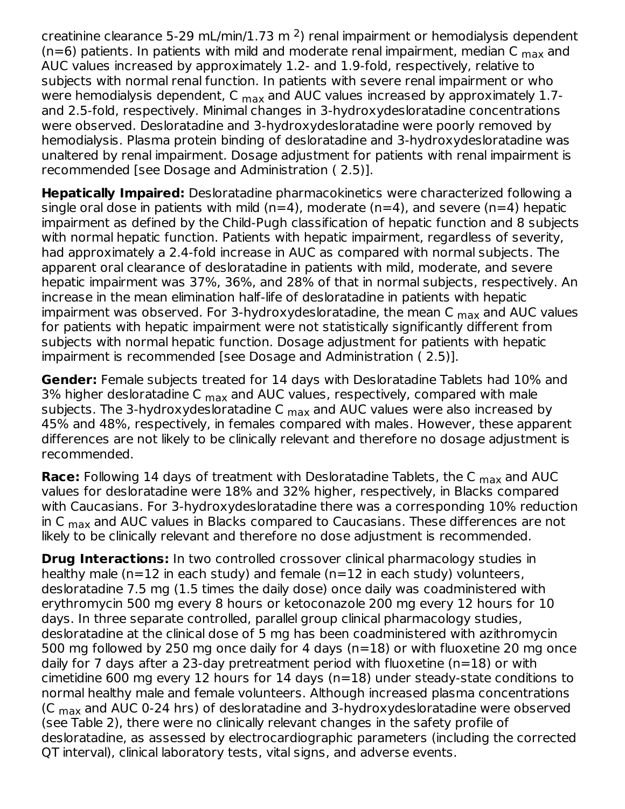creatinine clearance 5-29 mL/min/1.73 m  $^2$ ) renal impairment or hemodialysis dependent (n=6) patients. In patients with mild and moderate renal impairment, median C  $_{\sf max}$  and AUC values increased by approximately 1.2- and 1.9-fold, respectively, relative to subjects with normal renal function. In patients with severe renal impairment or who were hemodialysis dependent, C <sub>max</sub> and AUC values increased by approximately 1.7and 2.5-fold, respectively. Minimal changes in 3-hydroxydesloratadine concentrations were observed. Desloratadine and 3-hydroxydesloratadine were poorly removed by hemodialysis. Plasma protein binding of desloratadine and 3-hydroxydesloratadine was unaltered by renal impairment. Dosage adjustment for patients with renal impairment is recommended [see Dosage and Administration ( 2.5)].

**Hepatically Impaired:** Desloratadine pharmacokinetics were characterized following a single oral dose in patients with mild ( $n=4$ ), moderate ( $n=4$ ), and severe ( $n=4$ ) hepatic impairment as defined by the Child-Pugh classification of hepatic function and 8 subjects with normal hepatic function. Patients with hepatic impairment, regardless of severity, had approximately a 2.4-fold increase in AUC as compared with normal subjects. The apparent oral clearance of desloratadine in patients with mild, moderate, and severe hepatic impairment was 37%, 36%, and 28% of that in normal subjects, respectively. An increase in the mean elimination half-life of desloratadine in patients with hepatic impairment was observed. For 3-hydroxydesloratadine, the mean C  $_{\sf max}$  and AUC values for patients with hepatic impairment were not statistically significantly different from subjects with normal hepatic function. Dosage adjustment for patients with hepatic impairment is recommended [see Dosage and Administration ( 2.5)].

**Gender:** Female subjects treated for 14 days with Desloratadine Tablets had 10% and 3% higher desloratadine C <sub>max</sub> and AUC values, respectively, compared with male subjects. The 3-hydroxydesloratadine C <sub>max</sub> and AUC values were also increased by 45% and 48%, respectively, in females compared with males. However, these apparent differences are not likely to be clinically relevant and therefore no dosage adjustment is recommended.

**Race:** Following 14 days of treatment with Desloratadine Tablets, the C <sub>max</sub> and AUC values for desloratadine were 18% and 32% higher, respectively, in Blacks compared with Caucasians. For 3-hydroxydesloratadine there was a corresponding 10% reduction in C  $_{\sf max}$  and AUC values in Blacks compared to Caucasians. These differences are not likely to be clinically relevant and therefore no dose adjustment is recommended.

**Drug Interactions:** In two controlled crossover clinical pharmacology studies in healthy male ( $n=12$  in each study) and female ( $n=12$  in each study) volunteers, desloratadine 7.5 mg (1.5 times the daily dose) once daily was coadministered with erythromycin 500 mg every 8 hours or ketoconazole 200 mg every 12 hours for 10 days. In three separate controlled, parallel group clinical pharmacology studies, desloratadine at the clinical dose of 5 mg has been coadministered with azithromycin 500 mg followed by 250 mg once daily for 4 days (n=18) or with fluoxetine 20 mg once daily for 7 days after a 23-day pretreatment period with fluoxetine (n=18) or with cimetidine 600 mg every 12 hours for 14 days (n=18) under steady-state conditions to normal healthy male and female volunteers. Although increased plasma concentrations (C  $_{\sf max}$  and AUC 0-24 hrs) of desloratadine and 3-hydroxydesloratadine were observed (see Table 2), there were no clinically relevant changes in the safety profile of desloratadine, as assessed by electrocardiographic parameters (including the corrected QT interval), clinical laboratory tests, vital signs, and adverse events.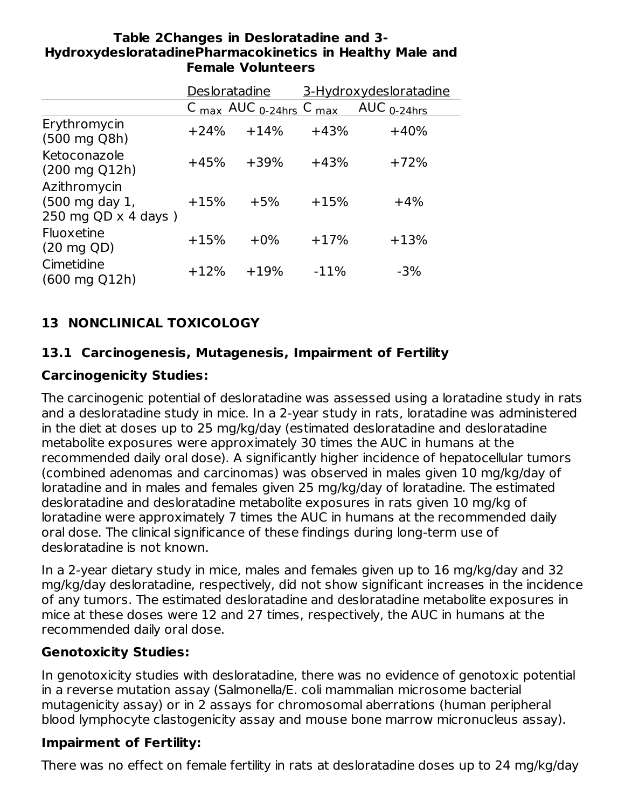#### **Table 2Changes in Desloratadine and 3- HydroxydesloratadinePharmacokinetics in Healthy Male and Female Volunteers**

|                                                              | Desloratadine |                                                                    |        | 3-Hydroxydesloratadine |
|--------------------------------------------------------------|---------------|--------------------------------------------------------------------|--------|------------------------|
|                                                              |               | C $_{\text{max}}$ AUC $_{0\text{-}24\text{hrs}}$ C $_{\text{max}}$ |        | AUC $_{0-24hrs}$       |
| Erythromycin<br>$(500 \text{ mg } Q8h)$                      | $+24%$        | $+14%$                                                             | $+43%$ | $+40%$                 |
| Ketoconazole<br>$(200 \text{ mg } Q12h)$                     | $+45%$        | $+39%$                                                             | $+43%$ | $+72%$                 |
| Azithromycin<br>(500 mg day 1,<br>250 mg QD $\times$ 4 days) | $+15%$        | $+5%$                                                              | $+15%$ | $+4%$                  |
| Fluoxetine<br>$(20 \text{ mg } QD)$                          | $+15%$        | $+0\%$                                                             | $+17%$ | $+13%$                 |
| Cimetidine<br>$(600 \text{ mg } Q12h)$                       | $+12%$        | $+19%$                                                             | $-11%$ | $-3%$                  |

# **13 NONCLINICAL TOXICOLOGY**

# **13.1 Carcinogenesis, Mutagenesis, Impairment of Fertility**

# **Carcinogenicity Studies:**

The carcinogenic potential of desloratadine was assessed using a loratadine study in rats and a desloratadine study in mice. In a 2-year study in rats, loratadine was administered in the diet at doses up to 25 mg/kg/day (estimated desloratadine and desloratadine metabolite exposures were approximately 30 times the AUC in humans at the recommended daily oral dose). A significantly higher incidence of hepatocellular tumors (combined adenomas and carcinomas) was observed in males given 10 mg/kg/day of loratadine and in males and females given 25 mg/kg/day of loratadine. The estimated desloratadine and desloratadine metabolite exposures in rats given 10 mg/kg of loratadine were approximately 7 times the AUC in humans at the recommended daily oral dose. The clinical significance of these findings during long-term use of desloratadine is not known.

In a 2-year dietary study in mice, males and females given up to 16 mg/kg/day and 32 mg/kg/day desloratadine, respectively, did not show significant increases in the incidence of any tumors. The estimated desloratadine and desloratadine metabolite exposures in mice at these doses were 12 and 27 times, respectively, the AUC in humans at the recommended daily oral dose.

### **Genotoxicity Studies:**

In genotoxicity studies with desloratadine, there was no evidence of genotoxic potential in a reverse mutation assay (Salmonella/E. coli mammalian microsome bacterial mutagenicity assay) or in 2 assays for chromosomal aberrations (human peripheral blood lymphocyte clastogenicity assay and mouse bone marrow micronucleus assay).

### **Impairment of Fertility:**

There was no effect on female fertility in rats at desloratadine doses up to 24 mg/kg/day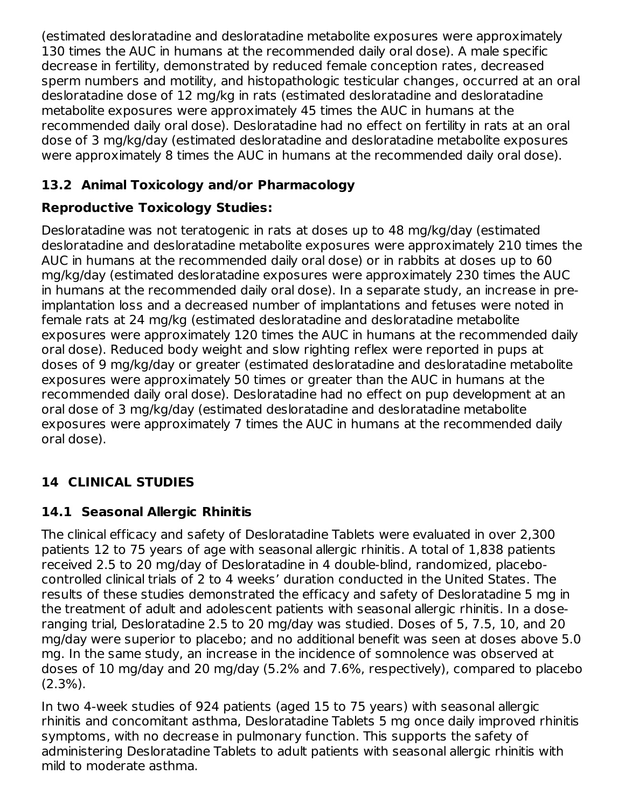(estimated desloratadine and desloratadine metabolite exposures were approximately 130 times the AUC in humans at the recommended daily oral dose). A male specific decrease in fertility, demonstrated by reduced female conception rates, decreased sperm numbers and motility, and histopathologic testicular changes, occurred at an oral desloratadine dose of 12 mg/kg in rats (estimated desloratadine and desloratadine metabolite exposures were approximately 45 times the AUC in humans at the recommended daily oral dose). Desloratadine had no effect on fertility in rats at an oral dose of 3 mg/kg/day (estimated desloratadine and desloratadine metabolite exposures were approximately 8 times the AUC in humans at the recommended daily oral dose).

# **13.2 Animal Toxicology and/or Pharmacology**

# **Reproductive Toxicology Studies:**

Desloratadine was not teratogenic in rats at doses up to 48 mg/kg/day (estimated desloratadine and desloratadine metabolite exposures were approximately 210 times the AUC in humans at the recommended daily oral dose) or in rabbits at doses up to 60 mg/kg/day (estimated desloratadine exposures were approximately 230 times the AUC in humans at the recommended daily oral dose). In a separate study, an increase in preimplantation loss and a decreased number of implantations and fetuses were noted in female rats at 24 mg/kg (estimated desloratadine and desloratadine metabolite exposures were approximately 120 times the AUC in humans at the recommended daily oral dose). Reduced body weight and slow righting reflex were reported in pups at doses of 9 mg/kg/day or greater (estimated desloratadine and desloratadine metabolite exposures were approximately 50 times or greater than the AUC in humans at the recommended daily oral dose). Desloratadine had no effect on pup development at an oral dose of 3 mg/kg/day (estimated desloratadine and desloratadine metabolite exposures were approximately 7 times the AUC in humans at the recommended daily oral dose).

# **14 CLINICAL STUDIES**

# **14.1 Seasonal Allergic Rhinitis**

The clinical efficacy and safety of Desloratadine Tablets were evaluated in over 2,300 patients 12 to 75 years of age with seasonal allergic rhinitis. A total of 1,838 patients received 2.5 to 20 mg/day of Desloratadine in 4 double-blind, randomized, placebocontrolled clinical trials of 2 to 4 weeks' duration conducted in the United States. The results of these studies demonstrated the efficacy and safety of Desloratadine 5 mg in the treatment of adult and adolescent patients with seasonal allergic rhinitis. In a doseranging trial, Desloratadine 2.5 to 20 mg/day was studied. Doses of 5, 7.5, 10, and 20 mg/day were superior to placebo; and no additional benefit was seen at doses above 5.0 mg. In the same study, an increase in the incidence of somnolence was observed at doses of 10 mg/day and 20 mg/day (5.2% and 7.6%, respectively), compared to placebo (2.3%).

In two 4-week studies of 924 patients (aged 15 to 75 years) with seasonal allergic rhinitis and concomitant asthma, Desloratadine Tablets 5 mg once daily improved rhinitis symptoms, with no decrease in pulmonary function. This supports the safety of administering Desloratadine Tablets to adult patients with seasonal allergic rhinitis with mild to moderate asthma.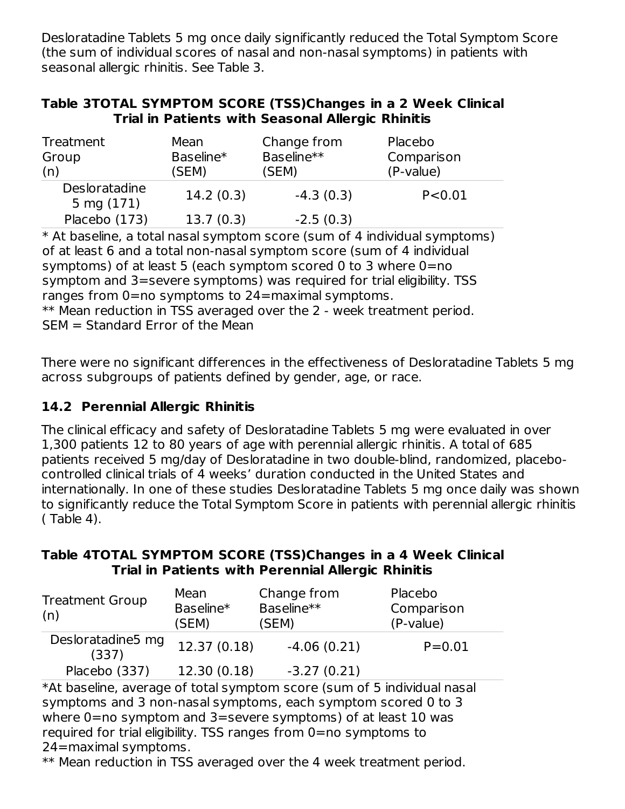Desloratadine Tablets 5 mg once daily significantly reduced the Total Symptom Score (the sum of individual scores of nasal and non-nasal symptoms) in patients with seasonal allergic rhinitis. See Table 3.

| Table 3TOTAL SYMPTOM SCORE (TSS)Changes in a 2 Week Clinical |  |                                                   |  |  |
|--------------------------------------------------------------|--|---------------------------------------------------|--|--|
|                                                              |  | Trial in Patients with Seasonal Allergic Rhinitis |  |  |

| Treatment<br>Group<br>(n)   | Mean<br>Baseline*<br>(SEM) | Change from<br>Baseline**<br>(SEM) | Placebo<br>Comparison<br>(P-value) |
|-----------------------------|----------------------------|------------------------------------|------------------------------------|
| Desloratadine<br>5 mg (171) | 14.2(0.3)                  | $-4.3(0.3)$                        | P < 0.01                           |
| Placebo (173)               | 13.7(0.3)                  | $-2.5(0.3)$                        |                                    |

\* At baseline, a total nasal symptom score (sum of 4 individual symptoms) of at least 6 and a total non-nasal symptom score (sum of 4 individual symptoms) of at least 5 (each symptom scored 0 to 3 where 0=no symptom and 3=severe symptoms) was required for trial eligibility. TSS ranges from 0=no symptoms to 24=maximal symptoms. \*\* Mean reduction in TSS averaged over the 2 - week treatment period. SEM = Standard Error of the Mean

There were no significant differences in the effectiveness of Desloratadine Tablets 5 mg across subgroups of patients defined by gender, age, or race.

### **14.2 Perennial Allergic Rhinitis**

The clinical efficacy and safety of Desloratadine Tablets 5 mg were evaluated in over 1,300 patients 12 to 80 years of age with perennial allergic rhinitis. A total of 685 patients received 5 mg/day of Desloratadine in two double-blind, randomized, placebocontrolled clinical trials of 4 weeks' duration conducted in the United States and internationally. In one of these studies Desloratadine Tablets 5 mg once daily was shown to significantly reduce the Total Symptom Score in patients with perennial allergic rhinitis ( Table 4).

#### **Table 4TOTAL SYMPTOM SCORE (TSS)Changes in a 4 Week Clinical Trial in Patients with Perennial Allergic Rhinitis**

| <b>Treatment Group</b><br>(n) | Mean<br>Baseline*<br>(SEM) | Change from<br>Baseline**<br>(SEM) | Placebo<br>Comparison<br>(P-value) |
|-------------------------------|----------------------------|------------------------------------|------------------------------------|
| Desloratadine5 mg<br>(337)    | 12.37(0.18)                | $-4.06(0.21)$                      | $P = 0.01$                         |
| Placebo (337)                 | 12.30 (0.18)               | $-3.27(0.21)$                      |                                    |

\*At baseline, average of total symptom score (sum of 5 individual nasal symptoms and 3 non-nasal symptoms, each symptom scored 0 to 3 where 0=no symptom and 3=severe symptoms) of at least 10 was required for trial eligibility. TSS ranges from 0=no symptoms to 24=maximal symptoms.

\*\* Mean reduction in TSS averaged over the 4 week treatment period.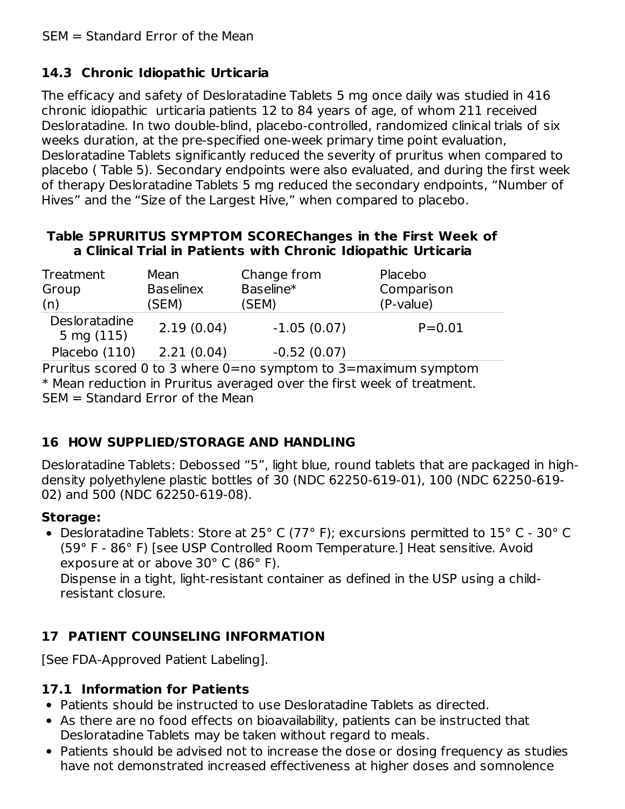# **14.3 Chronic Idiopathic Urticaria**

The efficacy and safety of Desloratadine Tablets 5 mg once daily was studied in 416 chronic idiopathic urticaria patients 12 to 84 years of age, of whom 211 received Desloratadine. In two double-blind, placebo-controlled, randomized clinical trials of six weeks duration, at the pre-specified one-week primary time point evaluation, Desloratadine Tablets significantly reduced the severity of pruritus when compared to placebo ( Table 5). Secondary endpoints were also evaluated, and during the first week of therapy Desloratadine Tablets 5 mg reduced the secondary endpoints, "Number of Hives" and the "Size of the Largest Hive," when compared to placebo.

#### **Table 5PRURITUS SYMPTOM SCOREChanges in the First Week of a Clinical Trial in Patients with Chronic Idiopathic Urticaria**

| Treatment<br>Group<br>(n)             | Mean<br><b>Baselinex</b><br>(SEM) | Change from<br>Baseline*<br>(SEM) | Placebo<br>Comparison<br>(P-value) |
|---------------------------------------|-----------------------------------|-----------------------------------|------------------------------------|
| Desloratadine<br>$5 \text{ mg} (115)$ | 2.19(0.04)                        | $-1.05(0.07)$                     | $P = 0.01$                         |
| Placebo (110)                         | 2.21(0.04)                        | $-0.52(0.07)$                     |                                    |

Pruritus scored 0 to 3 where 0=no symptom to 3=maximum symptom \* Mean reduction in Pruritus averaged over the first week of treatment. SEM = Standard Error of the Mean

# **16 HOW SUPPLIED/STORAGE AND HANDLING**

Desloratadine Tablets: Debossed "5", light blue, round tablets that are packaged in highdensity polyethylene plastic bottles of 30 (NDC 62250-619-01), 100 (NDC 62250-619- 02) and 500 (NDC 62250-619-08).

#### **Storage:**

Desloratadine Tablets: Store at 25° C (77° F); excursions permitted to 15° C - 30° C (59° F - 86° F) [see USP Controlled Room Temperature.] Heat sensitive. Avoid exposure at or above 30° C (86° F).

Dispense in a tight, light-resistant container as defined in the USP using a childresistant closure.

# **17 PATIENT COUNSELING INFORMATION**

[See FDA-Approved Patient Labeling].

### **17.1 Information for Patients**

- Patients should be instructed to use Desloratadine Tablets as directed.
- As there are no food effects on bioavailability, patients can be instructed that Desloratadine Tablets may be taken without regard to meals.
- Patients should be advised not to increase the dose or dosing frequency as studies have not demonstrated increased effectiveness at higher doses and somnolence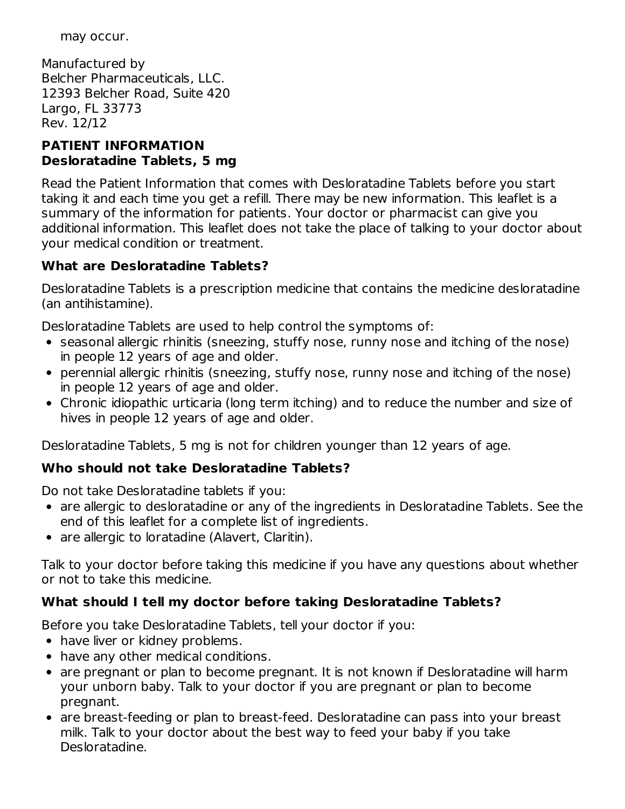may occur.

Manufactured by Belcher Pharmaceuticals, LLC. 12393 Belcher Road, Suite 420 Largo, FL 33773 Rev. 12/12

#### **PATIENT INFORMATION Desloratadine Tablets, 5 mg**

Read the Patient Information that comes with Desloratadine Tablets before you start taking it and each time you get a refill. There may be new information. This leaflet is a summary of the information for patients. Your doctor or pharmacist can give you additional information. This leaflet does not take the place of talking to your doctor about your medical condition or treatment.

# **What are Desloratadine Tablets?**

Desloratadine Tablets is a prescription medicine that contains the medicine desloratadine (an antihistamine).

Desloratadine Tablets are used to help control the symptoms of:

- seasonal allergic rhinitis (sneezing, stuffy nose, runny nose and itching of the nose) in people 12 years of age and older.
- perennial allergic rhinitis (sneezing, stuffy nose, runny nose and itching of the nose) in people 12 years of age and older.
- Chronic idiopathic urticaria (long term itching) and to reduce the number and size of hives in people 12 years of age and older.

Desloratadine Tablets, 5 mg is not for children younger than 12 years of age.

# **Who should not take Desloratadine Tablets?**

Do not take Desloratadine tablets if you:

- are allergic to desloratadine or any of the ingredients in Desloratadine Tablets. See the end of this leaflet for a complete list of ingredients.
- are allergic to loratadine (Alavert, Claritin).

Talk to your doctor before taking this medicine if you have any questions about whether or not to take this medicine.

# **What should I tell my doctor before taking Desloratadine Tablets?**

Before you take Desloratadine Tablets, tell your doctor if you:

- have liver or kidney problems.
- have any other medical conditions.
- are pregnant or plan to become pregnant. It is not known if Desloratadine will harm your unborn baby. Talk to your doctor if you are pregnant or plan to become pregnant.
- are breast-feeding or plan to breast-feed. Desloratadine can pass into your breast milk. Talk to your doctor about the best way to feed your baby if you take Desloratadine.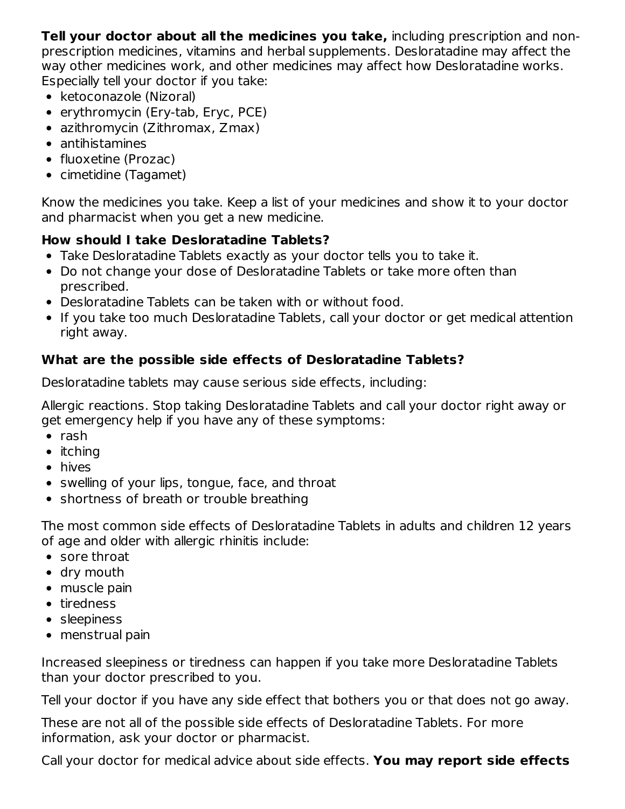**Tell your doctor about all the medicines you take,** including prescription and nonprescription medicines, vitamins and herbal supplements. Desloratadine may affect the way other medicines work, and other medicines may affect how Desloratadine works. Especially tell your doctor if you take:

- ketoconazole (Nizoral)
- erythromycin (Ery-tab, Eryc, PCE)
- azithromycin (Zithromax, Zmax)
- antihistamines
- fluoxetine (Prozac)
- cimetidine (Tagamet)

Know the medicines you take. Keep a list of your medicines and show it to your doctor and pharmacist when you get a new medicine.

# **How should I take Desloratadine Tablets?**

- Take Desloratadine Tablets exactly as your doctor tells you to take it.
- Do not change your dose of Desloratadine Tablets or take more often than prescribed.
- Desloratadine Tablets can be taken with or without food.
- If you take too much Desloratadine Tablets, call your doctor or get medical attention right away.

# **What are the possible side effects of Desloratadine Tablets?**

Desloratadine tablets may cause serious side effects, including:

Allergic reactions. Stop taking Desloratadine Tablets and call your doctor right away or get emergency help if you have any of these symptoms:

- $\bullet$  rash
- $\bullet$  itching
- hives
- swelling of your lips, tongue, face, and throat
- shortness of breath or trouble breathing

The most common side effects of Desloratadine Tablets in adults and children 12 years of age and older with allergic rhinitis include:

- sore throat
- dry mouth
- muscle pain
- tiredness
- sleepiness
- menstrual pain

Increased sleepiness or tiredness can happen if you take more Desloratadine Tablets than your doctor prescribed to you.

Tell your doctor if you have any side effect that bothers you or that does not go away.

These are not all of the possible side effects of Desloratadine Tablets. For more information, ask your doctor or pharmacist.

Call your doctor for medical advice about side effects. **You may report side effects**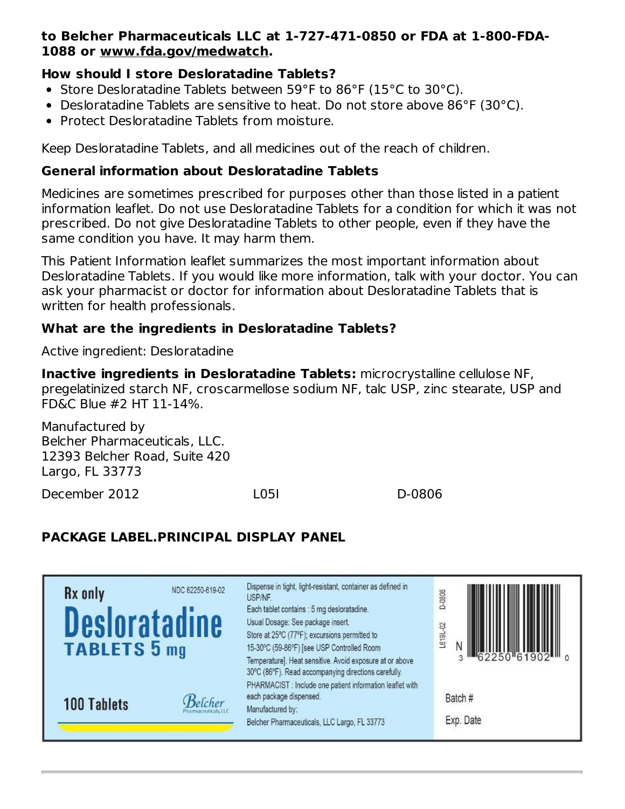#### **to Belcher Pharmaceuticals LLC at 1-727-471-0850 or FDA at 1-800-FDA-1088 or www.fda.gov/medwatch.**

#### **How should I store Desloratadine Tablets?**

- Store Desloratadine Tablets between 59°F to 86°F (15°C to 30°C).
- **•** Desloratadine Tablets are sensitive to heat. Do not store above 86 $^{\circ}$ F (30 $^{\circ}$ C).
- Protect Desloratadine Tablets from moisture.

Keep Desloratadine Tablets, and all medicines out of the reach of children.

#### **General information about Desloratadine Tablets**

Medicines are sometimes prescribed for purposes other than those listed in a patient information leaflet. Do not use Desloratadine Tablets for a condition for which it was not prescribed. Do not give Desloratadine Tablets to other people, even if they have the same condition you have. It may harm them.

This Patient Information leaflet summarizes the most important information about Desloratadine Tablets. If you would like more information, talk with your doctor. You can ask your pharmacist or doctor for information about Desloratadine Tablets that is written for health professionals.

#### **What are the ingredients in Desloratadine Tablets?**

Active ingredient: Desloratadine

**Inactive ingredients in Desloratadine Tablets:** microcrystalline cellulose NF, pregelatinized starch NF, croscarmellose sodium NF, talc USP, zinc stearate, USP and FD&C Blue #2 HT 11-14%.

Manufactured by Belcher Pharmaceuticals, LLC. 12393 Belcher Road, Suite 420 Largo, FL 33773

December 2012 L05I D-0806

# **PACKAGE LABEL.PRINCIPAL DISPLAY PANEL**

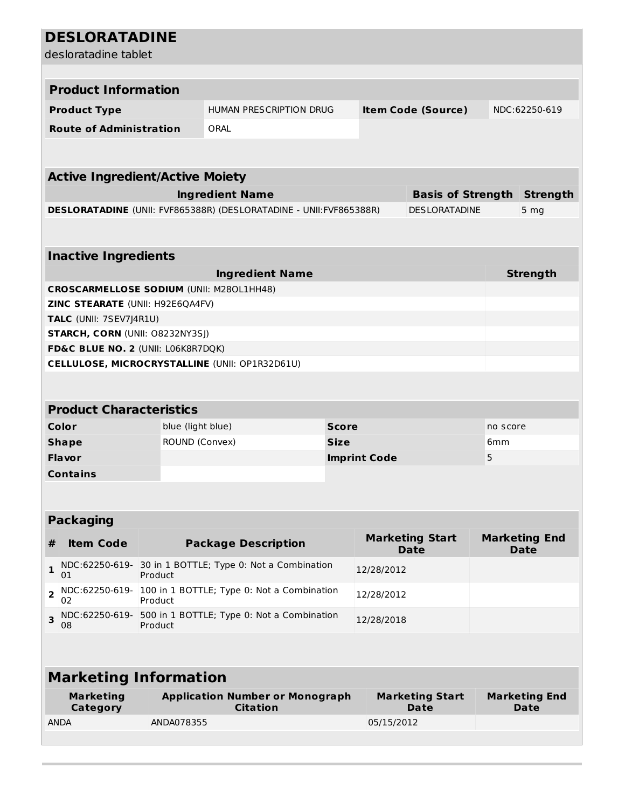| <b>DESLORATADINE</b>                            |                                                                                    |                                                                                               |  |                     |                                                  |   |                                    |
|-------------------------------------------------|------------------------------------------------------------------------------------|-----------------------------------------------------------------------------------------------|--|---------------------|--------------------------------------------------|---|------------------------------------|
| desloratadine tablet                            |                                                                                    |                                                                                               |  |                     |                                                  |   |                                    |
|                                                 |                                                                                    |                                                                                               |  |                     |                                                  |   |                                    |
| <b>Product Information</b>                      |                                                                                    |                                                                                               |  |                     |                                                  |   |                                    |
|                                                 |                                                                                    | HUMAN PRESCRIPTION DRUG                                                                       |  |                     |                                                  |   | NDC:62250-619                      |
| <b>Product Type</b>                             |                                                                                    |                                                                                               |  |                     | <b>Item Code (Source)</b>                        |   |                                    |
| <b>Route of Administration</b>                  |                                                                                    | ORAL                                                                                          |  |                     |                                                  |   |                                    |
|                                                 |                                                                                    |                                                                                               |  |                     |                                                  |   |                                    |
| <b>Active Ingredient/Active Moiety</b>          |                                                                                    |                                                                                               |  |                     |                                                  |   |                                    |
|                                                 |                                                                                    |                                                                                               |  |                     |                                                  |   |                                    |
|                                                 |                                                                                    | <b>Ingredient Name</b><br>DESLORATADINE (UNII: FVF865388R) (DESLORATADINE - UNII: FVF865388R) |  |                     | <b>Basis of Strength</b><br><b>DESLORATADINE</b> |   | <b>Strength</b><br>5 <sub>mg</sub> |
|                                                 |                                                                                    |                                                                                               |  |                     |                                                  |   |                                    |
|                                                 |                                                                                    |                                                                                               |  |                     |                                                  |   |                                    |
| <b>Inactive Ingredients</b>                     |                                                                                    |                                                                                               |  |                     |                                                  |   |                                    |
|                                                 |                                                                                    | <b>Ingredient Name</b>                                                                        |  |                     |                                                  |   | <b>Strength</b>                    |
| <b>CROSCARMELLOSE SODIUM (UNII: M280L1HH48)</b> |                                                                                    |                                                                                               |  |                     |                                                  |   |                                    |
| ZINC STEARATE (UNII: H92E6QA4FV)                |                                                                                    |                                                                                               |  |                     |                                                  |   |                                    |
| TALC (UNII: 7SEV7J4R1U)                         |                                                                                    |                                                                                               |  |                     |                                                  |   |                                    |
| <b>STARCH, CORN (UNII: O8232NY3SJ)</b>          |                                                                                    |                                                                                               |  |                     |                                                  |   |                                    |
| FD&C BLUE NO. 2 (UNII: L06K8R7DQK)              |                                                                                    |                                                                                               |  |                     |                                                  |   |                                    |
|                                                 |                                                                                    | CELLULOSE, MICROCRYSTALLINE (UNII: OP1R32D61U)                                                |  |                     |                                                  |   |                                    |
|                                                 |                                                                                    |                                                                                               |  |                     |                                                  |   |                                    |
|                                                 |                                                                                    |                                                                                               |  |                     |                                                  |   |                                    |
| <b>Product Characteristics</b>                  |                                                                                    |                                                                                               |  |                     |                                                  |   |                                    |
| Color                                           |                                                                                    | blue (light blue)<br><b>Score</b>                                                             |  |                     | no score                                         |   |                                    |
| <b>Shape</b>                                    |                                                                                    | ROUND (Convex)<br><b>Size</b>                                                                 |  |                     | 6 <sub>mm</sub>                                  |   |                                    |
| <b>Flavor</b>                                   |                                                                                    |                                                                                               |  | <b>Imprint Code</b> |                                                  | 5 |                                    |
| <b>Contains</b>                                 |                                                                                    |                                                                                               |  |                     |                                                  |   |                                    |
|                                                 |                                                                                    |                                                                                               |  |                     |                                                  |   |                                    |
| <b>Packaging</b>                                |                                                                                    |                                                                                               |  |                     |                                                  |   |                                    |
|                                                 |                                                                                    |                                                                                               |  |                     | <b>Marketing Start</b>                           |   | <b>Marketing End</b>               |
| <b>Item Code</b><br>#                           |                                                                                    | <b>Package Description</b>                                                                    |  |                     | <b>Date</b>                                      |   | <b>Date</b>                        |
| 1<br>01                                         | Product                                                                            | NDC:62250-619- 30 in 1 BOTTLE; Type 0: Not a Combination<br>12/28/2012                        |  |                     |                                                  |   |                                    |
| NDC:62250-619-<br>$\overline{2}$<br>02          | Product                                                                            | 100 in 1 BOTTLE; Type 0: Not a Combination<br>12/28/2012                                      |  |                     |                                                  |   |                                    |
| 3<br>08                                         | NDC:62250-619- 500 in 1 BOTTLE; Type 0: Not a Combination<br>12/28/2018<br>Product |                                                                                               |  |                     |                                                  |   |                                    |
|                                                 |                                                                                    |                                                                                               |  |                     |                                                  |   |                                    |
| <b>Marketing Information</b>                    |                                                                                    |                                                                                               |  |                     |                                                  |   |                                    |
| <b>Marketing</b><br><b>Category</b>             |                                                                                    | <b>Application Number or Monograph</b><br><b>Citation</b>                                     |  |                     | <b>Marketing Start</b><br>Date                   |   | <b>Marketing End</b><br>Date       |
| <b>ANDA</b>                                     | ANDA078355                                                                         |                                                                                               |  | 05/15/2012          |                                                  |   |                                    |
|                                                 |                                                                                    |                                                                                               |  |                     |                                                  |   |                                    |